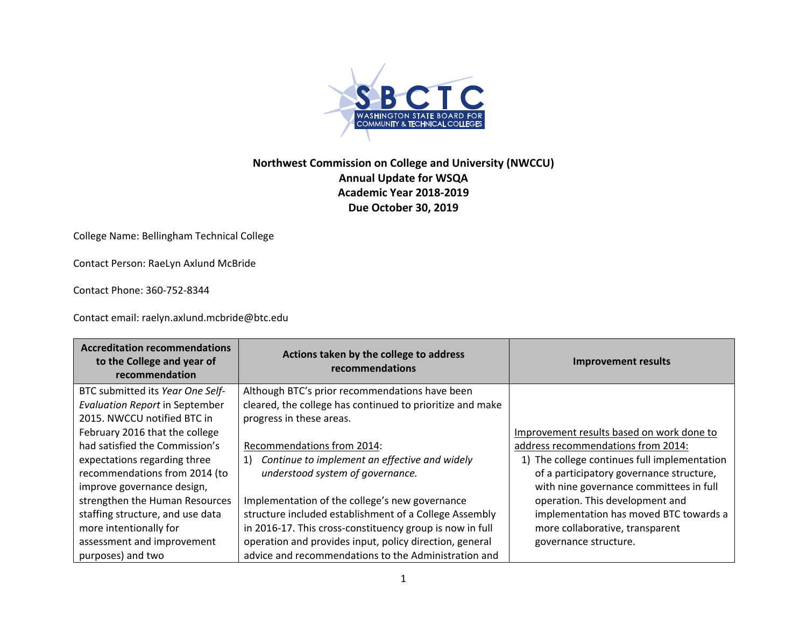

## **Northwest Commission on College and University (NWCCU) Annual Update for WSQA Academic Year 2018‐2019 Due October 30, 2019**

College Name: Bellingham Technical College

Contact Person: RaeLyn Axlund McBride

Contact Phone: 360‐752‐8344

Contact email: raelyn.axlund.mcbride@btc.edu

| <b>Accreditation recommendations</b><br>to the College and year of<br>recommendation | Actions taken by the college to address<br>recommendations | <b>Improvement results</b>                   |
|--------------------------------------------------------------------------------------|------------------------------------------------------------|----------------------------------------------|
| BTC submitted its Year One Self-                                                     | Although BTC's prior recommendations have been             |                                              |
| <b>Evaluation Report in September</b>                                                | cleared, the college has continued to prioritize and make  |                                              |
| 2015. NWCCU notified BTC in                                                          | progress in these areas.                                   |                                              |
| February 2016 that the college                                                       |                                                            | Improvement results based on work done to    |
| had satisfied the Commission's                                                       | Recommendations from 2014:                                 | address recommendations from 2014:           |
| expectations regarding three                                                         | Continue to implement an effective and widely<br>1)        | 1) The college continues full implementation |
| recommendations from 2014 (to                                                        | understood system of governance.                           | of a participatory governance structure,     |
| improve governance design,                                                           |                                                            | with nine governance committees in full      |
| strengthen the Human Resources                                                       | Implementation of the college's new governance             | operation. This development and              |
| staffing structure, and use data                                                     | structure included establishment of a College Assembly     | implementation has moved BTC towards a       |
| more intentionally for                                                               | in 2016-17. This cross-constituency group is now in full   | more collaborative, transparent              |
| assessment and improvement                                                           | operation and provides input, policy direction, general    | governance structure.                        |
| purposes) and two                                                                    | advice and recommendations to the Administration and       |                                              |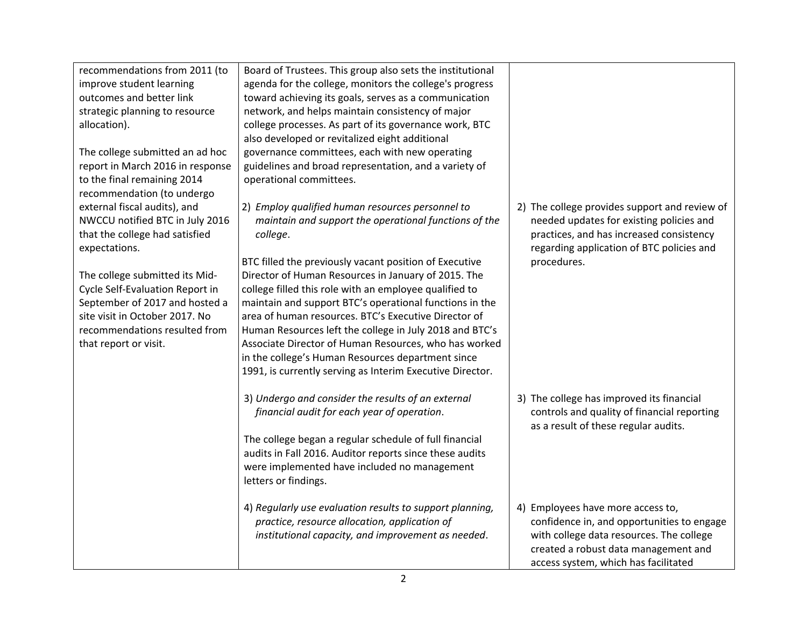| recommendations from 2011 (to<br>improve student learning<br>outcomes and better link<br>strategic planning to resource<br>allocation).<br>The college submitted an ad hoc<br>report in March 2016 in response<br>to the final remaining 2014 | Board of Trustees. This group also sets the institutional<br>agenda for the college, monitors the college's progress<br>toward achieving its goals, serves as a communication<br>network, and helps maintain consistency of major<br>college processes. As part of its governance work, BTC<br>also developed or revitalized eight additional<br>governance committees, each with new operating<br>guidelines and broad representation, and a variety of<br>operational committees.                                              |                                                                                                                                                                                                             |
|-----------------------------------------------------------------------------------------------------------------------------------------------------------------------------------------------------------------------------------------------|----------------------------------------------------------------------------------------------------------------------------------------------------------------------------------------------------------------------------------------------------------------------------------------------------------------------------------------------------------------------------------------------------------------------------------------------------------------------------------------------------------------------------------|-------------------------------------------------------------------------------------------------------------------------------------------------------------------------------------------------------------|
| recommendation (to undergo<br>external fiscal audits), and<br>NWCCU notified BTC in July 2016<br>that the college had satisfied<br>expectations.                                                                                              | 2) Employ qualified human resources personnel to<br>maintain and support the operational functions of the<br>college.                                                                                                                                                                                                                                                                                                                                                                                                            | 2) The college provides support and review of<br>needed updates for existing policies and<br>practices, and has increased consistency<br>regarding application of BTC policies and                          |
| The college submitted its Mid-<br>Cycle Self-Evaluation Report in<br>September of 2017 and hosted a<br>site visit in October 2017. No<br>recommendations resulted from<br>that report or visit.                                               | BTC filled the previously vacant position of Executive<br>Director of Human Resources in January of 2015. The<br>college filled this role with an employee qualified to<br>maintain and support BTC's operational functions in the<br>area of human resources. BTC's Executive Director of<br>Human Resources left the college in July 2018 and BTC's<br>Associate Director of Human Resources, who has worked<br>in the college's Human Resources department since<br>1991, is currently serving as Interim Executive Director. | procedures.                                                                                                                                                                                                 |
|                                                                                                                                                                                                                                               | 3) Undergo and consider the results of an external<br>financial audit for each year of operation.<br>The college began a regular schedule of full financial                                                                                                                                                                                                                                                                                                                                                                      | 3) The college has improved its financial<br>controls and quality of financial reporting<br>as a result of these regular audits.                                                                            |
|                                                                                                                                                                                                                                               | audits in Fall 2016. Auditor reports since these audits<br>were implemented have included no management<br>letters or findings.                                                                                                                                                                                                                                                                                                                                                                                                  |                                                                                                                                                                                                             |
|                                                                                                                                                                                                                                               | 4) Regularly use evaluation results to support planning,<br>practice, resource allocation, application of<br>institutional capacity, and improvement as needed.                                                                                                                                                                                                                                                                                                                                                                  | 4) Employees have more access to,<br>confidence in, and opportunities to engage<br>with college data resources. The college<br>created a robust data management and<br>access system, which has facilitated |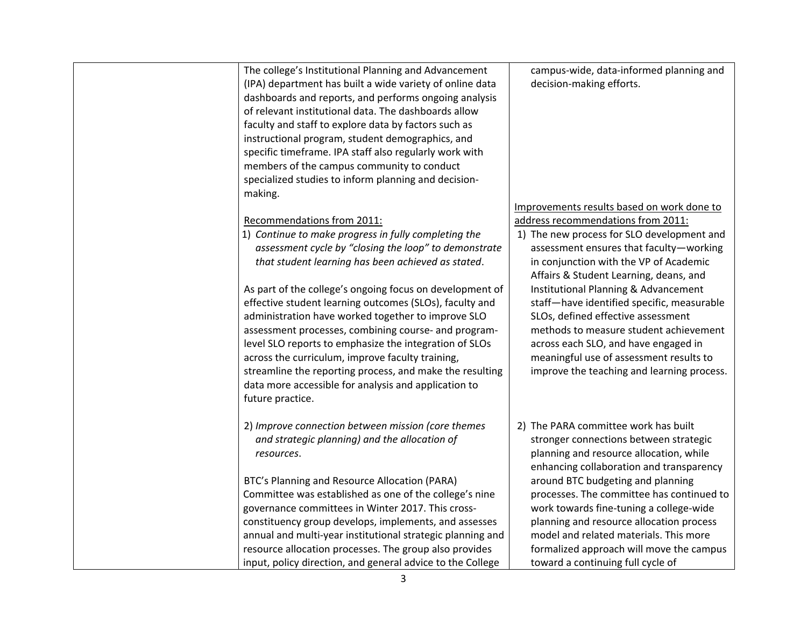| The college's Institutional Planning and Advancement<br>(IPA) department has built a wide variety of online data<br>dashboards and reports, and performs ongoing analysis<br>of relevant institutional data. The dashboards allow<br>faculty and staff to explore data by factors such as<br>instructional program, student demographics, and<br>specific timeframe. IPA staff also regularly work with<br>members of the campus community to conduct<br>specialized studies to inform planning and decision-<br>making. | campus-wide, data-informed planning and<br>decision-making efforts.                                                                                                                                                                                                                                 |
|--------------------------------------------------------------------------------------------------------------------------------------------------------------------------------------------------------------------------------------------------------------------------------------------------------------------------------------------------------------------------------------------------------------------------------------------------------------------------------------------------------------------------|-----------------------------------------------------------------------------------------------------------------------------------------------------------------------------------------------------------------------------------------------------------------------------------------------------|
|                                                                                                                                                                                                                                                                                                                                                                                                                                                                                                                          | Improvements results based on work done to                                                                                                                                                                                                                                                          |
| Recommendations from 2011:<br>1) Continue to make progress in fully completing the<br>assessment cycle by "closing the loop" to demonstrate<br>that student learning has been achieved as stated.                                                                                                                                                                                                                                                                                                                        | address recommendations from 2011:<br>1) The new process for SLO development and<br>assessment ensures that faculty-working<br>in conjunction with the VP of Academic<br>Affairs & Student Learning, deans, and                                                                                     |
| As part of the college's ongoing focus on development of<br>effective student learning outcomes (SLOs), faculty and<br>administration have worked together to improve SLO<br>assessment processes, combining course- and program-<br>level SLO reports to emphasize the integration of SLOs<br>across the curriculum, improve faculty training,<br>streamline the reporting process, and make the resulting<br>data more accessible for analysis and application to<br>future practice.                                  | Institutional Planning & Advancement<br>staff-have identified specific, measurable<br>SLOs, defined effective assessment<br>methods to measure student achievement<br>across each SLO, and have engaged in<br>meaningful use of assessment results to<br>improve the teaching and learning process. |
| 2) Improve connection between mission (core themes<br>and strategic planning) and the allocation of<br>resources.                                                                                                                                                                                                                                                                                                                                                                                                        | 2) The PARA committee work has built<br>stronger connections between strategic<br>planning and resource allocation, while<br>enhancing collaboration and transparency                                                                                                                               |
| BTC's Planning and Resource Allocation (PARA)<br>Committee was established as one of the college's nine<br>governance committees in Winter 2017. This cross-<br>constituency group develops, implements, and assesses<br>annual and multi-year institutional strategic planning and<br>resource allocation processes. The group also provides<br>input, policy direction, and general advice to the College                                                                                                              | around BTC budgeting and planning<br>processes. The committee has continued to<br>work towards fine-tuning a college-wide<br>planning and resource allocation process<br>model and related materials. This more<br>formalized approach will move the campus<br>toward a continuing full cycle of    |